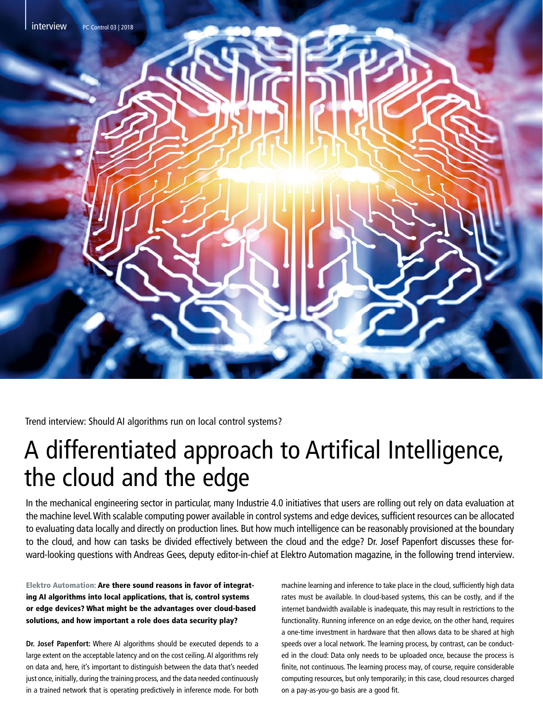

Trend interview: Should AI algorithms run on local control systems?

# A differentiated approach to Artifical Intelligence, the cloud and the edge

In the mechanical engineering sector in particular, many Industrie 4.0 initiatives that users are rolling out rely on data evaluation at the machine level. With scalable computing power available in control systems and edge devices, sufficient resources can be allocated to evaluating data locally and directly on production lines. But how much intelligence can be reasonably provisioned at the boundary to the cloud, and how can tasks be divided effectively between the cloud and the edge? Dr. Josef Papenfort discusses these forward-looking questions with Andreas Gees, deputy editor-in-chief at Elektro Automation magazine, in the following trend interview.

## Elektro Automation: Are there sound reasons in favor of integrating AI algorithms into local applications, that is, control systems or edge devices? What might be the advantages over cloud-based solutions, and how important a role does data security play?

**Dr. Josef Papenfort:** Where AI algorithms should be executed depends to a large extent on the acceptable latency and on the cost ceiling. AI algorithms rely on data and, here, it's important to distinguish between the data that's needed just once, initially, during the training process, and the data needed continuously in a trained network that is operating predictively in inference mode. For both machine learning and inference to take place in the cloud, sufficiently high data rates must be available. In cloud-based systems, this can be costly, and if the internet bandwidth available is inadequate, this may result in restrictions to the functionality. Running inference on an edge device, on the other hand, requires a one-time investment in hardware that then allows data to be shared at high speeds over a local network. The learning process, by contrast, can be conducted in the cloud: Data only needs to be uploaded once, because the process is finite, not continuous. The learning process may, of course, require considerable computing resources, but only temporarily; in this case, cloud resources charged on a pay-as-you-go basis are a good fit.